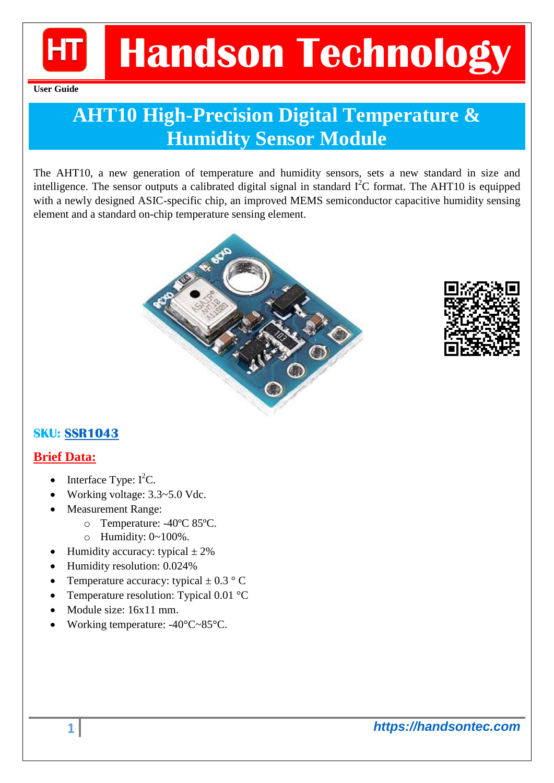

**User Guide**

### **AHT10 High-Precision Digital Temperature & Humidity Sensor Module**

The AHT10, a new generation of temperature and humidity sensors, sets a new standard in size and intelligence. The sensor outputs a calibrated digital signal in standard  $\vec{I}^2C$  format. The AHT10 is equipped with a newly designed ASIC-specific chip, an improved MEMS semiconductor capacitive humidity sensing element and a standard on-chip temperature sensing element.





#### **SKU: [SSR1043](https://handsontec.com/index.php/product/aht10-high-precision-digital-temperature-humidity-sensor-module/)**

#### **Brief Data:**

- Interface Type:  $I^2C$ .
- Working voltage: 3.3~5.0 Vdc.
- Measurement Range:
	- o Temperature: -40ºC 85ºC.
	- o Humidity: 0~100%.
	- Humidity accuracy: typical  $\pm$  2%
- Humidity resolution: 0.024%
- Temperature accuracy: typical  $\pm$  0.3 ° C
- Temperature resolution: Typical 0.01 °C
- Module size: 16x11 mm.
- Working temperature: -40°C~85°C.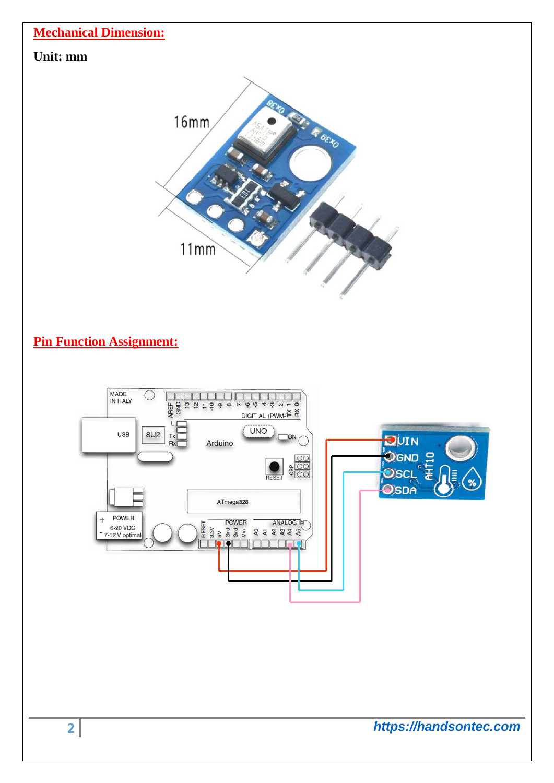

 $11mm$ 

#### **Pin Function Assignment:**

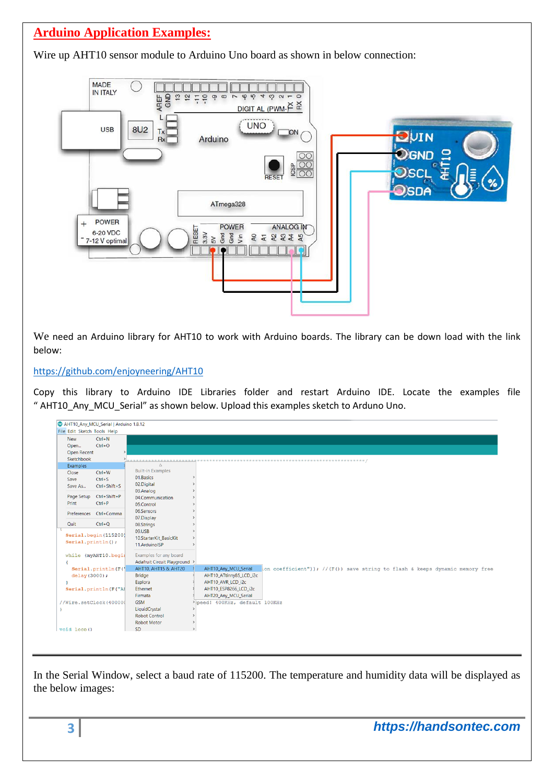#### **Arduino Application Examples:**

Wire up AHT10 sensor module to Arduino Uno board as shown in below connection:



We need an Arduino library for AHT10 to work with Arduino boards. The library can be down load with the link below:

#### <https://github.com/enjoyneering/AHT10>

Copy this library to Arduino IDE Libraries folder and restart Arduino IDE. Locate the examples file " AHT10\_Any\_MCU\_Serial" as shown below. Upload this examples sketch to Arduno Uno.



In the Serial Window, select a baud rate of 115200. The temperature and humidity data will be displayed as the below images: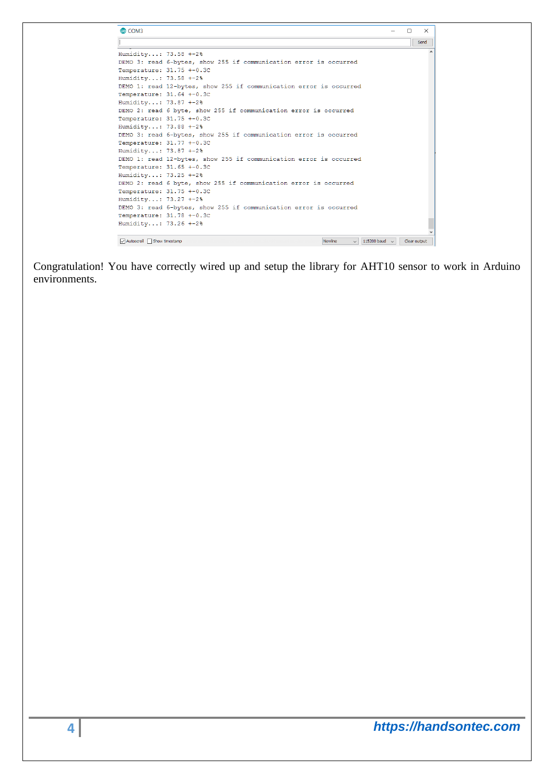| Humidity: 73.58 +-2%      |                                                                    |
|---------------------------|--------------------------------------------------------------------|
|                           | DEMO 3: read 6-bytes, show 255 if communication error is occurred  |
| Temperature: 31.75 +-0.3C |                                                                    |
| Humidity: 73.58 +-2%      |                                                                    |
|                           | DEMO 1: read 12-bytes, show 255 if communication error is occurred |
| Temperature: 31.64 +-0.3C |                                                                    |
| Humidity: 73.87 +-2%      |                                                                    |
|                           | DEMO 2: read 6 byte, show 255 if communication error is occurred   |
| Temperature: 31.75 +-0.3C |                                                                    |
| Humidity: 73.88 +-2%      |                                                                    |
|                           | DEMO 3: read 6-bytes, show 255 if communication error is occurred  |
| Temperature: 31.77 +-0.3C |                                                                    |
| Humidity: 73.87 +-2%      |                                                                    |
|                           | DEMO 1: read 12-bytes, show 255 if communication error is occurred |
| Temperature: 31.65 +-0.3C |                                                                    |
| Humidity: 73.25 +-2%      |                                                                    |
|                           | DEMO 2: read 6 byte, show 255 if communication error is occurred   |
| Temperature: 31.75 +-0.3C |                                                                    |
| Humidity: 73.27 +-2%      |                                                                    |
|                           | DEMO 3: read 6-bytes, show 255 if communication error is occurred  |
| Temperature: 31.78 +-0.3C |                                                                    |
| Humidity: 73.26 +-2%      |                                                                    |

Congratulation! You have correctly wired up and setup the library for AHT10 sensor to work in Arduino environments.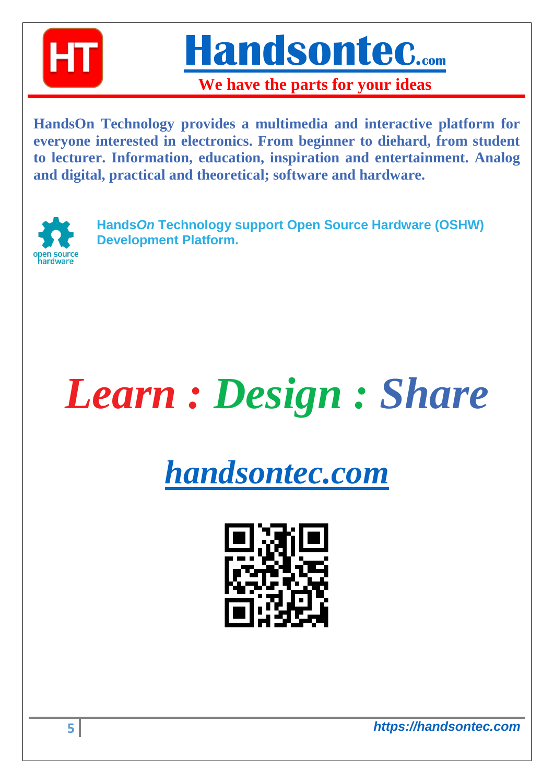

**[Handsontec](http://www.handsontec.com/).com**

**We have the parts for your ideas**

**HandsOn Technology provides a multimedia and interactive platform for everyone interested in electronics. From beginner to diehard, from student to lecturer. Information, education, inspiration and entertainment. Analog and digital, practical and theoretical; software and hardware.** 



**Hands***On* **Technology support Open Source Hardware (OSHW) Development Platform.**

# *Learn : Design : Share*

## *[handsontec.com](https://handsontec.com/)*



**5** *https://handsontec.com*